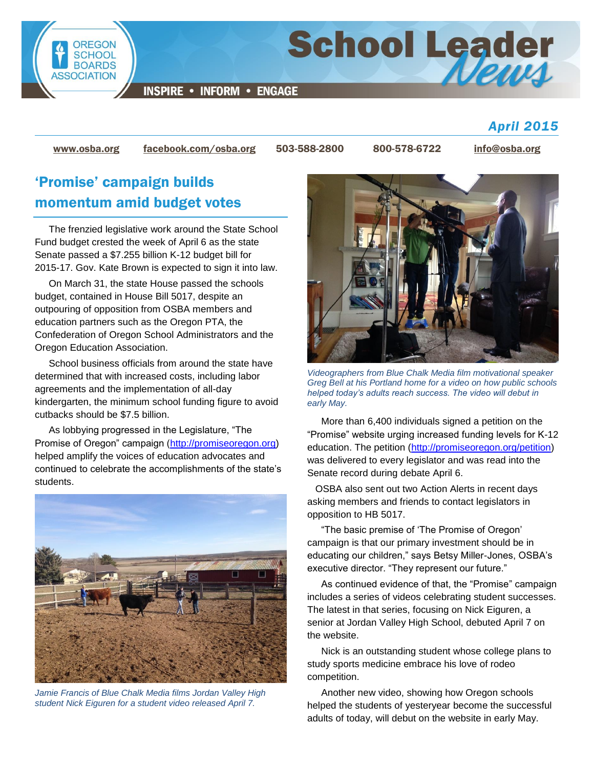

[www.osba.org](http://www.osba.org/) [facebook.com/osba.org](http://www.facebook.com/osba.org) 503-588-2800 800-578-6722 [info@osba.org](mailto:info@osba.org)

## 'Promise' campaign builds momentum amid budget votes

The frenzied legislative work around the State School Fund budget crested the week of April 6 as the state Senate passed a \$7.255 billion K-12 budget bill for 2015-17. Gov. Kate Brown is expected to sign it into law.

On March 31, the state House passed the schools budget, contained in House Bill 5017, despite an outpouring of opposition from OSBA members and education partners such as the Oregon PTA, the Confederation of Oregon School Administrators and the Oregon Education Association.

School business officials from around the state have determined that with increased costs, including labor agreements and the implementation of all-day kindergarten, the minimum school funding figure to avoid cutbacks should be \$7.5 billion.

As lobbying progressed in the Legislature, "The Promise of Oregon" campaign [\(http://promiseoregon.org\)](http://promiseoregon.org/) helped amplify the voices of education advocates and continued to celebrate the accomplishments of the state's students.



*Jamie Francis of Blue Chalk Media films Jordan Valley High student Nick Eiguren for a student video released April 7.*



*April 2015*

*Videographers from Blue Chalk Media film motivational speaker Greg Bell at his Portland home for a video on how public schools helped today's adults reach success. The video will debut in early May.*

More than 6,400 individuals signed a petition on the "Promise" website urging increased funding levels for K-12 education. The petition [\(http://promiseoregon.org/petition\)](http://promiseoregon.org/petition/) was delivered to every legislator and was read into the Senate record during debate April 6.

 OSBA also sent out two Action Alerts in recent days asking members and friends to contact legislators in opposition to HB 5017.

"The basic premise of 'The Promise of Oregon' campaign is that our primary investment should be in educating our children," says Betsy Miller-Jones, OSBA's executive director. "They represent our future."

As continued evidence of that, the "Promise" campaign includes a series of videos celebrating student successes. The latest in that series, focusing on Nick Eiguren, a senior at Jordan Valley High School, debuted April 7 on the website.

Nick is an outstanding student whose college plans to study sports medicine embrace his love of rodeo competition.

Another new video, showing how Oregon schools helped the students of yesteryear become the successful adults of today, will debut on the website in early May.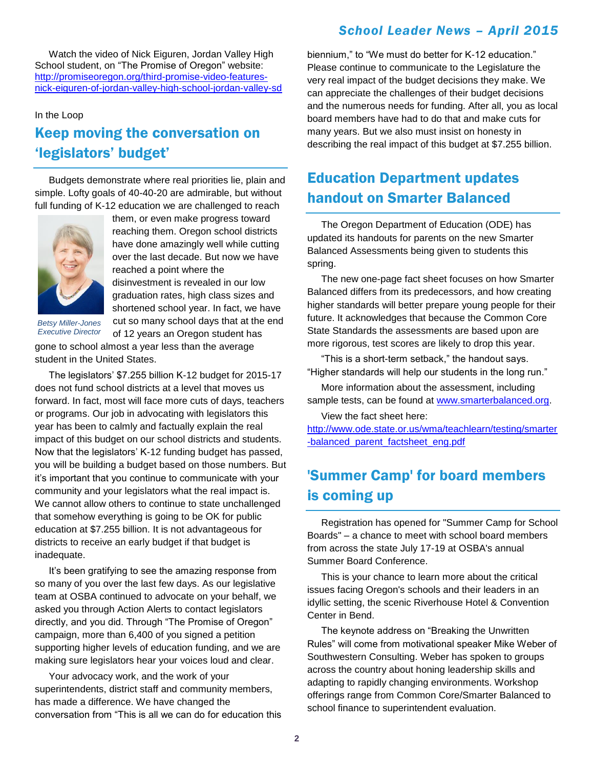#### *School Leader News – April 2015*

Watch the video of Nick Eiguren, Jordan Valley High School student, on "The Promise of Oregon" website: [http://promiseoregon.org/third-promise-video-features](http://promiseoregon.org/third-promise-video-features-nick-eiguren-of-jordan-valley-high-school-jordan-valley-sd/)[nick-eiguren-of-jordan-valley-high-school-jordan-valley-sd](http://promiseoregon.org/third-promise-video-features-nick-eiguren-of-jordan-valley-high-school-jordan-valley-sd/)

#### In the Loop

## Keep moving the conversation on 'legislators' budget'

Budgets demonstrate where real priorities lie, plain and simple. Lofty goals of 40-40-20 are admirable, but without full funding of K-12 education we are challenged to reach



them, or even make progress toward reaching them. Oregon school districts have done amazingly well while cutting over the last decade. But now we have reached a point where the disinvestment is revealed in our low graduation rates, high class sizes and shortened school year. In fact, we have cut so many school days that at the end

*Betsy Miller-Jones Executive Director*

of 12 years an Oregon student has gone to school almost a year less than the average student in the United States.

The legislators' \$7.255 billion K-12 budget for 2015-17 does not fund school districts at a level that moves us forward. In fact, most will face more cuts of days, teachers or programs. Our job in advocating with legislators this year has been to calmly and factually explain the real impact of this budget on our school districts and students. Now that the legislators' K-12 funding budget has passed, you will be building a budget based on those numbers. But it's important that you continue to communicate with your community and your legislators what the real impact is. We cannot allow others to continue to state unchallenged that somehow everything is going to be OK for public education at \$7.255 billion. It is not advantageous for districts to receive an early budget if that budget is inadequate.

It's been gratifying to see the amazing response from so many of you over the last few days. As our legislative team at OSBA continued to advocate on your behalf, we asked you through Action Alerts to contact legislators directly, and you did. Through "The Promise of Oregon" campaign, more than 6,400 of you signed a petition supporting higher levels of education funding, and we are making sure legislators hear your voices loud and clear.

Your advocacy work, and the work of your superintendents, district staff and community members, has made a difference. We have changed the conversation from "This is all we can do for education this biennium," to "We must do better for K-12 education." Please continue to communicate to the Legislature the very real impact of the budget decisions they make. We can appreciate the challenges of their budget decisions and the numerous needs for funding. After all, you as local board members have had to do that and make cuts for many years. But we also must insist on honesty in describing the real impact of this budget at \$7.255 billion.

### Education Department updates handout on Smarter Balanced

The Oregon Department of Education (ODE) has updated its handouts for parents on the new Smarter Balanced Assessments being given to students this spring.

The new one-page fact sheet focuses on how Smarter Balanced differs from its predecessors, and how creating higher standards will better prepare young people for their future. It acknowledges that because the Common Core State Standards the assessments are based upon are more rigorous, test scores are likely to drop this year.

"This is a short-term setback," the handout says. "Higher standards will help our students in the long run."

More information about the assessment, including sample tests, can be found at [www.smarterbalanced.org.](http://www.smarterbalanced.org/)

View the fact sheet here:

[http://www.ode.state.or.us/wma/teachlearn/testing/smarter](http://www.ode.state.or.us/wma/teachlearn/testing/smarter-balanced_parent_factsheet_eng.pdf) [-balanced\\_parent\\_factsheet\\_eng.pdf](http://www.ode.state.or.us/wma/teachlearn/testing/smarter-balanced_parent_factsheet_eng.pdf)

#### 'Summer Camp' for board members is coming up

Registration has opened for "Summer Camp for School Boards" – a chance to meet with school board members from across the state July 17-19 at OSBA's annual Summer Board Conference.

This is your chance to learn more about the critical issues facing Oregon's schools and their leaders in an idyllic setting, the scenic Riverhouse Hotel & Convention Center in Bend.

The keynote address on "Breaking the Unwritten Rules" will come from motivational speaker Mike Weber of Southwestern Consulting. Weber has spoken to groups across the country about honing leadership skills and adapting to rapidly changing environments. Workshop offerings range from Common Core/Smarter Balanced to school finance to superintendent evaluation.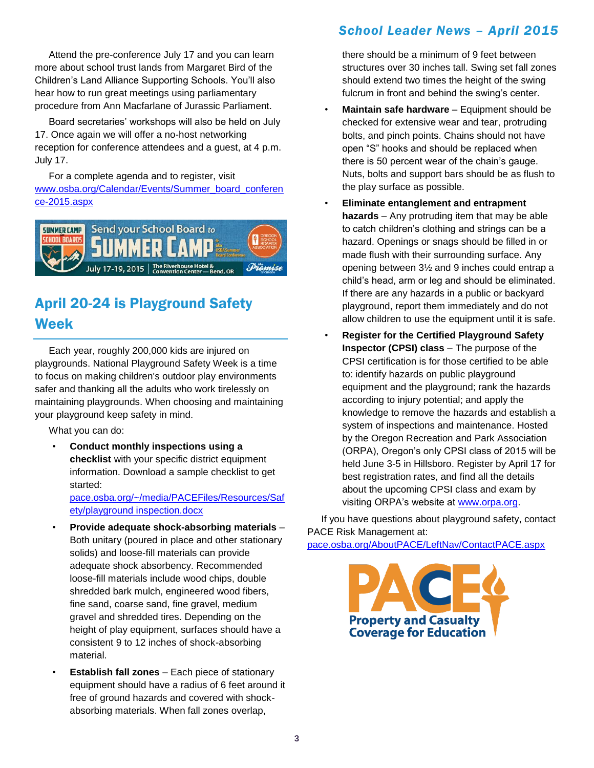Attend the pre-conference July 17 and you can learn more about school trust lands from Margaret Bird of the Children's Land Alliance Supporting Schools. You'll also hear how to run great meetings using parliamentary procedure from Ann Macfarlane of Jurassic Parliament.

Board secretaries' workshops will also be held on July 17. Once again we will offer a no-host networking reception for conference attendees and a guest, at 4 p.m. July 17.

For a complete agenda and to register, visit [www.osba.org/Calendar/Events/Summer\\_board\\_conferen](http://www.osba.org/Calendar/Events/Summer_board_conference-2015.aspx) [ce-2015.aspx](http://www.osba.org/Calendar/Events/Summer_board_conference-2015.aspx)



# April 20-24 is Playground Safety Week

Each year, roughly 200,000 kids are injured on playgrounds. National Playground Safety Week is a time to focus on making children's outdoor play environments safer and thanking all the adults who work tirelessly on maintaining playgrounds. When choosing and maintaining your playground keep safety in mind.

What you can do:

• **Conduct monthly inspections using a checklist** with your specific district equipment information. Download a sample checklist to get started:

[pace.osba.org/~/media/PACEFiles/Resources/Saf](http://pace.osba.org/~/media/PACEFiles/Resources/Safety/playground%20inspection.docx) [ety/playground inspection.docx](http://pace.osba.org/~/media/PACEFiles/Resources/Safety/playground%20inspection.docx)

- **Provide adequate shock-absorbing materials** Both unitary (poured in place and other stationary solids) and loose-fill materials can provide adequate shock absorbency. Recommended loose-fill materials include wood chips, double shredded bark mulch, engineered wood fibers, fine sand, coarse sand, fine gravel, medium gravel and shredded tires. Depending on the height of play equipment, surfaces should have a consistent 9 to 12 inches of shock-absorbing material.
- **Establish fall zones** Each piece of stationary equipment should have a radius of 6 feet around it free of ground hazards and covered with shockabsorbing materials. When fall zones overlap,

#### *School Leader News – April 2015*

there should be a minimum of 9 feet between structures over 30 inches tall. Swing set fall zones should extend two times the height of the swing fulcrum in front and behind the swing's center.

- **Maintain safe hardware** Equipment should be checked for extensive wear and tear, protruding bolts, and pinch points. Chains should not have open "S" hooks and should be replaced when there is 50 percent wear of the chain's gauge. Nuts, bolts and support bars should be as flush to the play surface as possible.
- **Eliminate entanglement and entrapment hazards** – Any protruding item that may be able to catch children's clothing and strings can be a hazard. Openings or snags should be filled in or made flush with their surrounding surface. Any opening between 3½ and 9 inches could entrap a child's head, arm or leg and should be eliminated. If there are any hazards in a public or backyard playground, report them immediately and do not allow children to use the equipment until it is safe.
- **Register for the Certified Playground Safety Inspector (CPSI) class** – The purpose of the CPSI certification is for those certified to be able to: identify hazards on public playground equipment and the playground; rank the hazards according to injury potential; and apply the knowledge to remove the hazards and establish a system of inspections and maintenance. Hosted by the Oregon Recreation and Park Association (ORPA), Oregon's only CPSI class of 2015 will be held June 3-5 in Hillsboro. Register by April 17 for best registration rates, and find all the details about the upcoming CPSI class and exam by visiting ORPA's website at [www.orpa.org.](http://www.orpa.org/)

If you have questions about playground safety, contact PACE Risk Management at:

[pace.osba.org/AboutPACE/LeftNav/ContactPACE.aspx](http://pace.osba.org/AboutPACE/LeftNav/ContactPACE.aspx)